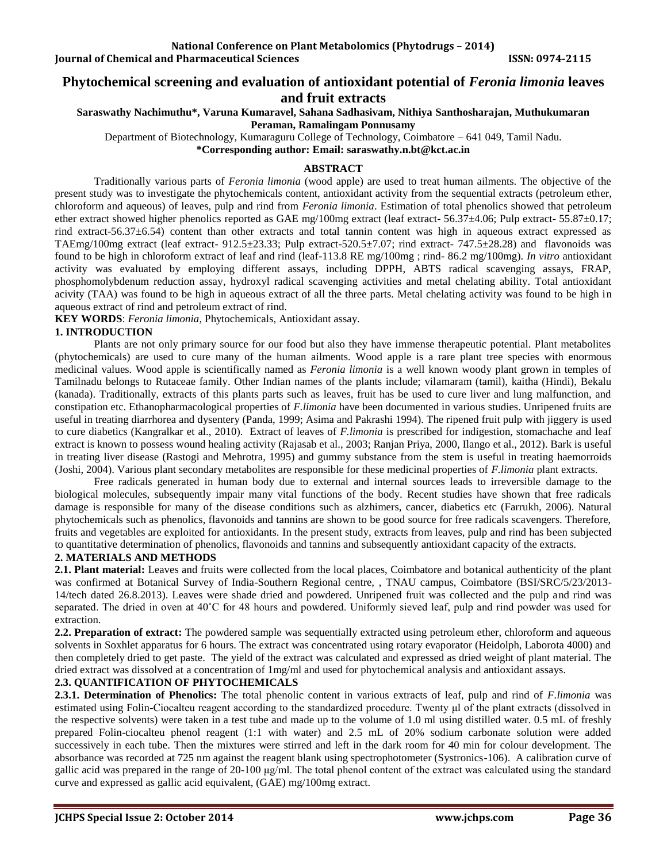**Journal of Chemical and Pharmaceutical Sciences ISSN: 0974-2115** 

# **Phytochemical screening and evaluation of antioxidant potential of** *Feronia limonia* **leaves**

## **and fruit extracts**

#### **Saraswathy Nachimuthu\*, Varuna Kumaravel, Sahana Sadhasivam, Nithiya Santhosharajan, Muthukumaran Peraman, Ramalingam Ponnusamy**

Department of Biotechnology, Kumaraguru College of Technology, Coimbatore – 641 049, Tamil Nadu.

**\*Corresponding author: Email: [saraswathy.n.bt@kct.ac.in](mailto:saraswathy.n.bt@kct.ac.in)**

#### **ABSTRACT**

Traditionally various parts of *Feronia limonia* (wood apple) are used to treat human ailments. The objective of the present study was to investigate the phytochemicals content, antioxidant activity from the sequential extracts (petroleum ether, chloroform and aqueous) of leaves, pulp and rind from *Feronia limonia*. Estimation of total phenolics showed that petroleum ether extract showed higher phenolics reported as GAE mg/100mg extract (leaf extract- 56.37±4.06; Pulp extract- 55.87±0.17; rind extract-56.37±6.54) content than other extracts and total tannin content was high in aqueous extract expressed as TAEmg/100mg extract (leaf extract-  $912.5\pm 23.33$ ; Pulp extract-520.5 $\pm 7.07$ ; rind extract- 747.5 $\pm 28.28$ ) and flavonoids was found to be high in chloroform extract of leaf and rind (leaf-113.8 RE mg/100mg ; rind- 86.2 mg/100mg). *In vitro* antioxidant activity was evaluated by employing different assays, including DPPH, ABTS radical scavenging assays, FRAP, phosphomolybdenum reduction assay, hydroxyl radical scavenging activities and metal chelating ability. Total antioxidant acivity (TAA) was found to be high in aqueous extract of all the three parts. Metal chelating activity was found to be high in aqueous extract of rind and petroleum extract of rind.

**KEY WORDS**: *Feronia limonia*, Phytochemicals, Antioxidant assay.

### **1. INTRODUCTION**

Plants are not only primary source for our food but also they have immense therapeutic potential. Plant metabolites (phytochemicals) are used to cure many of the human ailments. Wood apple is a rare plant tree species with enormous medicinal values. Wood apple is scientifically named as *Feronia limonia* is a well known woody plant grown in temples of Tamilnadu belongs to Rutaceae family. Other Indian names of the plants include; vilamaram (tamil), kaitha (Hindi), Bekalu (kanada). Traditionally, extracts of this plants parts such as leaves, fruit has be used to cure liver and lung malfunction, and constipation etc. Ethanopharmacological properties of *F.limonia* have been documented in various studies. Unripened fruits are useful in treating diarrhorea and dysentery (Panda, 1999; Asima and Pakrashi 1994). The ripened fruit pulp with jiggery is used to cure diabetics (Kangralkar et al., 2010). Extract of leaves of *F.limonia* is prescribed for indigestion, stomachache and leaf extract is known to possess wound healing activity (Rajasab et al., 2003; Ranjan Priya, 2000, Ilango et al., 2012). Bark is useful in treating liver disease (Rastogi and Mehrotra, 1995) and gummy substance from the stem is useful in treating haemorroids (Joshi, 2004). Various plant secondary metabolites are responsible for these medicinal properties of *F.limonia* plant extracts.

Free radicals generated in human body due to external and internal sources leads to irreversible damage to the biological molecules, subsequently impair many vital functions of the body. Recent studies have shown that free radicals damage is responsible for many of the disease conditions such as alzhimers, cancer, diabetics etc (Farrukh, 2006). Natural phytochemicals such as phenolics, flavonoids and tannins are shown to be good source for free radicals scavengers. Therefore, fruits and vegetables are exploited for antioxidants. In the present study, extracts from leaves, pulp and rind has been subjected to quantitative determination of phenolics, flavonoids and tannins and subsequently antioxidant capacity of the extracts.

## **2. MATERIALS AND METHODS**

**2.1. Plant material:** Leaves and fruits were collected from the local places, Coimbatore and botanical authenticity of the plant was confirmed at Botanical Survey of India-Southern Regional centre, , TNAU campus, Coimbatore (BSI/SRC/5/23/2013- 14/tech dated 26.8.2013). Leaves were shade dried and powdered. Unripened fruit was collected and the pulp and rind was separated. The dried in oven at 40˚C for 48 hours and powdered. Uniformly sieved leaf, pulp and rind powder was used for extraction.

**2.2. Preparation of extract:** The powdered sample was sequentially extracted using petroleum ether, chloroform and aqueous solvents in Soxhlet apparatus for 6 hours. The extract was concentrated using rotary evaporator (Heidolph, Laborota 4000) and then completely dried to get paste. The yield of the extract was calculated and expressed as dried weight of plant material. The dried extract was dissolved at a concentration of 1mg/ml and used for phytochemical analysis and antioxidant assays.

## **2.3. QUANTIFICATION OF PHYTOCHEMICALS**

**2.3.1. Determination of Phenolics:** The total phenolic content in various extracts of leaf, pulp and rind of *F.limonia* was estimated using Folin-Ciocalteu reagent according to the standardized procedure. Twenty μl of the plant extracts (dissolved in the respective solvents) were taken in a test tube and made up to the volume of 1.0 ml using distilled water. 0.5 mL of freshly prepared Folin-ciocalteu phenol reagent (1:1 with water) and 2.5 mL of 20% sodium carbonate solution were added successively in each tube. Then the mixtures were stirred and left in the dark room for 40 min for colour development. The absorbance was recorded at 725 nm against the reagent blank using spectrophotometer (Systronics-106). A calibration curve of gallic acid was prepared in the range of 20-100 μg/ml. The total phenol content of the extract was calculated using the standard curve and expressed as gallic acid equivalent, (GAE) mg/100mg extract.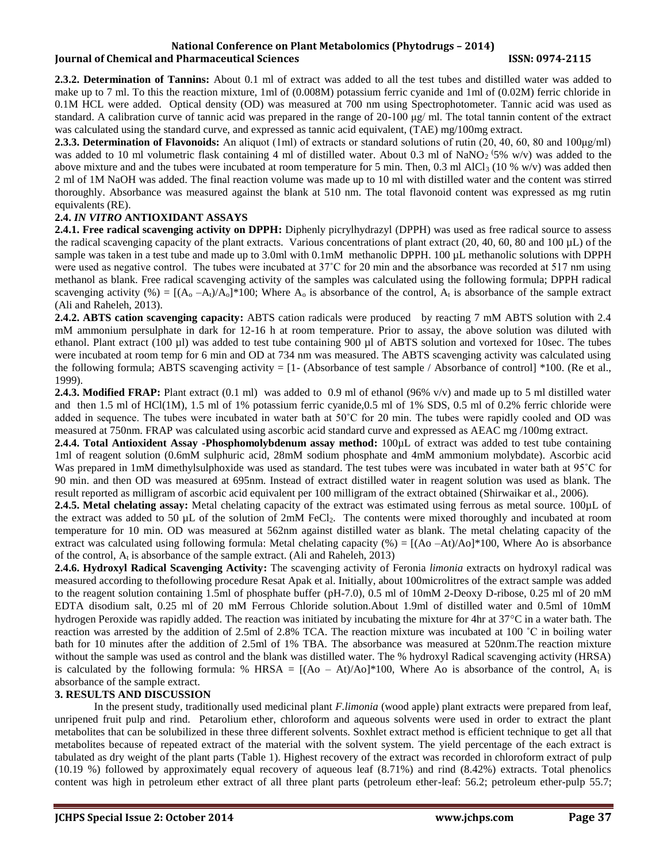**2.3.2. Determination of Tannins:** About 0.1 ml of extract was added to all the test tubes and distilled water was added to make up to 7 ml. To this the reaction mixture, 1ml of (0.008M) potassium ferric cyanide and 1ml of (0.02M) ferric chloride in 0.1M HCL were added. Optical density (OD) was measured at 700 nm using Spectrophotometer. Tannic acid was used as standard. A calibration curve of tannic acid was prepared in the range of 20-100 μg/ ml. The total tannin content of the extract was calculated using the standard curve, and expressed as tannic acid equivalent, (TAE) mg/100mg extract.

**2.3.3. Determination of Flavonoids:** An aliquot (1ml) of extracts or standard solutions of rutin (20, 40, 60, 80 and 100μg/ml) was added to 10 ml volumetric flask containing 4 ml of distilled water. About 0.3 ml of NaNO<sub>2</sub> (5% w/v) was added to the above mixture and and the tubes were incubated at room temperature for 5 min. Then, 0.3 ml AlCl<sub>3</sub> (10 % w/v) was added then 2 ml of 1M NaOH was added. The final reaction volume was made up to 10 ml with distilled water and the content was stirred thoroughly. Absorbance was measured against the blank at 510 nm. The total flavonoid content was expressed as mg rutin equivalents (RE).

#### **2.4.** *IN VITRO* **ANTIOXIDANT ASSAYS**

**2.4.1. Free radical scavenging activity on DPPH:** Diphenly picrylhydrazyl (DPPH) was used as free radical source to assess the radical scavenging capacity of the plant extracts. Various concentrations of plant extract (20, 40, 60, 80 and 100 µL) of the sample was taken in a test tube and made up to 3.0ml with 0.1mM methanolic DPPH. 100 µL methanolic solutions with DPPH were used as negative control. The tubes were incubated at 37<sup>°</sup>C for 20 min and the absorbance was recorded at 517 nm using methanol as blank. Free radical scavenging activity of the samples was calculated using the following formula; DPPH radical scavenging activity (%) =  $[(A_0 - A_1)/A_0]^*100$ ; Where  $A_0$  is absorbance of the control,  $A_t$  is absorbance of the sample extract (Ali and Raheleh, 2013).

**2.4.2. ABTS cation scavenging capacity:** ABTS cation radicals were produced by reacting 7 mM ABTS solution with 2.4 mM ammonium persulphate in dark for 12-16 h at room temperature. Prior to assay, the above solution was diluted with ethanol. Plant extract (100 µl) was added to test tube containing 900 µl of ABTS solution and vortexed for 10sec. The tubes were incubated at room temp for 6 min and OD at 734 nm was measured. The ABTS scavenging activity was calculated using the following formula; ABTS scavenging activity  $= [1 - (Absorbane\ of\ test\ sample / Absorbane\ of\ control] *100.$  (Re et al., 1999).

**2.4.3. Modified FRAP:** Plant extract (0.1 ml) was added to 0.9 ml of ethanol (96% v/v) and made up to 5 ml distilled water and then 1.5 ml of HCl(1M), 1.5 ml of 1% potassium ferric cyanide,0.5 ml of 1% SDS, 0.5 ml of 0.2% ferric chloride were added in sequence. The tubes were incubated in water bath at 50˚C for 20 min. The tubes were rapidly cooled and OD was measured at 750nm. FRAP was calculated using ascorbic acid standard curve and expressed as AEAC mg /100mg extract.

**2.4.4. Total Antioxident Assay -Phosphomolybdenum assay method:** 100µL of extract was added to test tube containing 1ml of reagent solution (0.6mM sulphuric acid, 28mM sodium phosphate and 4mM ammonium molybdate). Ascorbic acid Was prepared in 1mM dimethylsulphoxide was used as standard. The test tubes were was incubated in water bath at 95°C for 90 min. and then OD was measured at 695nm. Instead of extract distilled water in reagent solution was used as blank. The result reported as milligram of ascorbic acid equivalent per 100 milligram of the extract obtained (Shirwaikar et al., 2006).

**2.4.5. Metal chelating assay:** Metal chelating capacity of the extract was estimated using ferrous as metal source. 100µL of the extract was added to 50  $\mu$ L of the solution of 2mM FeCl<sub>2</sub>. The contents were mixed thoroughly and incubated at room temperature for 10 min. OD was measured at 562nm against distilled water as blank. The metal chelating capacity of the extract was calculated using following formula: Metal chelating capacity  $%$  =  $[(Ao - At)/Ao]*100$ , Where Ao is absorbance of the control,  $A_t$  is absorbance of the sample extract. (Ali and Raheleh, 2013)

**2.4.6. Hydroxyl Radical Scavenging Activity:** The scavenging activity of Feronia *limonia* extracts on hydroxyl radical was measured according to thefollowing procedure Resat Apak et al. Initially, about 100microlitres of the extract sample was added to the reagent solution containing 1.5ml of phosphate buffer (pH-7.0), 0.5 ml of 10mM 2-Deoxy D-ribose, 0.25 ml of 20 mM EDTA disodium salt, 0.25 ml of 20 mM Ferrous Chloride solution.About 1.9ml of distilled water and 0.5ml of 10mM hydrogen Peroxide was rapidly added. The reaction was initiated by incubating the mixture for 4hr at  $37^{\circ}$ C in a water bath. The reaction was arrested by the addition of 2.5ml of 2.8% TCA. The reaction mixture was incubated at 100 ˚C in boiling water bath for 10 minutes after the addition of 2.5ml of 1% TBA. The absorbance was measured at 520nm.The reaction mixture without the sample was used as control and the blank was distilled water. The % hydroxyl Radical scavenging activity (HRSA) is calculated by the following formula: % HRSA =  $[(Ao - At)/Ao]^*100$ , Where Ao is absorbance of the control, A<sub>t</sub> is absorbance of the sample extract.

### **3. RESULTS AND DISCUSSION**

In the present study, traditionally used medicinal plant *F.limonia* (wood apple) plant extracts were prepared from leaf, unripened fruit pulp and rind. Petarolium ether, chloroform and aqueous solvents were used in order to extract the plant metabolites that can be solubilized in these three different solvents. Soxhlet extract method is efficient technique to get all that metabolites because of repeated extract of the material with the solvent system. The yield percentage of the each extract is tabulated as dry weight of the plant parts (Table 1). Highest recovery of the extract was recorded in chloroform extract of pulp (10.19 %) followed by approximately equal recovery of aqueous leaf (8.71%) and rind (8.42%) extracts. Total phenolics content was high in petroleum ether extract of all three plant parts (petroleum ether-leaf: 56.2; petroleum ether-pulp 55.7;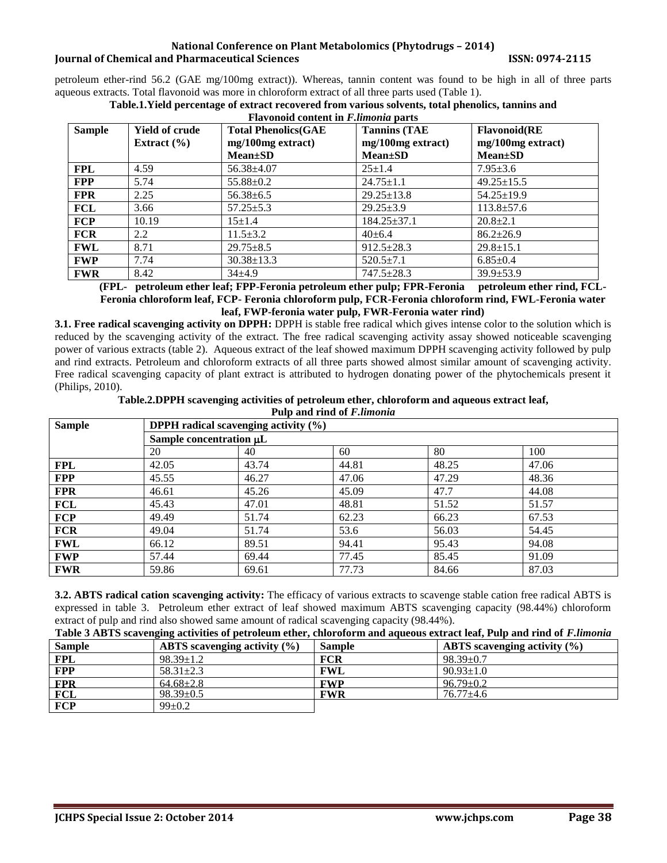petroleum ether-rind 56.2 (GAE mg/100mg extract)). Whereas, tannin content was found to be high in all of three parts aqueous extracts. Total flavonoid was more in chloroform extract of all three parts used (Table 1).

| <b>Flavonoid content in F.limonia parts</b> |                                          |                                                                    |                                                             |                                                              |  |
|---------------------------------------------|------------------------------------------|--------------------------------------------------------------------|-------------------------------------------------------------|--------------------------------------------------------------|--|
| <b>Sample</b>                               | <b>Yield of crude</b><br>Extract $(\% )$ | <b>Total Phenolics(GAE</b><br>mg/100mg extract)<br><b>Mean</b> ±SD | <b>Tannins (TAE</b><br>mg/100mg extract)<br><b>Mean</b> ±SD | <b>Flavonoid</b> (RE<br>mg/100mg extract)<br><b>Mean</b> ±SD |  |
| <b>FPL</b>                                  | 4.59                                     | $56.38{\pm}4.07$                                                   | $25 \pm 1.4$                                                | $7.95 \pm 3.6$                                               |  |
| <b>FPP</b>                                  | 5.74                                     | $55.88 \pm 0.2$                                                    | $24.75 \pm 1.1$                                             | $49.25 \pm 15.5$                                             |  |
| <b>FPR</b>                                  | 2.25                                     | $56.38 \pm 6.5$                                                    | $29.25 \pm 13.8$                                            | $54.25 \pm 19.9$                                             |  |
| <b>FCL</b>                                  | 3.66                                     | $57.25 \pm 5.3$                                                    | $29.25 \pm 3.9$                                             | $113.8 \pm 57.6$                                             |  |
| <b>FCP</b>                                  | 10.19                                    | $15 + 1.4$                                                         | $184.25 \pm 37.1$                                           | $20.8 \pm 2.1$                                               |  |
| <b>FCR</b>                                  | 2.2                                      | $11.5 \pm 3.2$                                                     | $40 \pm 6.4$                                                | $86.2 \pm 26.9$                                              |  |
| <b>FWL</b>                                  | 8.71                                     | $29.75 \pm 8.5$                                                    | $912.5 \pm 28.3$                                            | $29.8 \pm 15.1$                                              |  |
| <b>FWP</b>                                  | 7.74                                     | $30.38 \pm 13.3$                                                   | $520.5 \pm 7.1$                                             | $6.85 \pm 0.4$                                               |  |
| <b>FWR</b>                                  | 8.42                                     | $34+4.9$                                                           | $747.5 \pm 28.3$                                            | $39.9 \pm 53.9$                                              |  |

**Table.1.Yield percentage of extract recovered from various solvents, total phenolics, tannins and**

**(FPL- petroleum ether leaf; FPP-Feronia petroleum ether pulp; FPR-Feronia petroleum ether rind, FCL-Feronia chloroform leaf, FCP- Feronia chloroform pulp, FCR-Feronia chloroform rind, FWL-Feronia water leaf, FWP-feronia water pulp, FWR-Feronia water rind)**

**3.1. Free radical scavenging activity on DPPH:** DPPH is stable free radical which gives intense color to the solution which is reduced by the scavenging activity of the extract. The free radical scavenging activity assay showed noticeable scavenging power of various extracts (table 2). Aqueous extract of the leaf showed maximum DPPH scavenging activity followed by pulp and rind extracts. Petroleum and chloroform extracts of all three parts showed almost similar amount of scavenging activity. Free radical scavenging capacity of plant extract is attributed to hydrogen donating power of the phytochemicals present it (Philips, 2010).

**Table.2.DPPH scavenging activities of petroleum ether, chloroform and aqueous extract leaf,**

| Pulp and rind of <i>F.limonia</i> |                                                |                         |       |       |       |  |
|-----------------------------------|------------------------------------------------|-------------------------|-------|-------|-------|--|
| <b>Sample</b>                     | <b>DPPH</b> radical scavenging activity $(\%)$ |                         |       |       |       |  |
|                                   |                                                | Sample concentration µL |       |       |       |  |
|                                   | 20                                             | 40                      | 60    | 80    | 100   |  |
| <b>FPL</b>                        | 42.05                                          | 43.74                   | 44.81 | 48.25 | 47.06 |  |
| <b>FPP</b>                        | 45.55                                          | 46.27                   | 47.06 | 47.29 | 48.36 |  |
| <b>FPR</b>                        | 46.61                                          | 45.26                   | 45.09 | 47.7  | 44.08 |  |
| FCL                               | 45.43                                          | 47.01                   | 48.81 | 51.52 | 51.57 |  |
| <b>FCP</b>                        | 49.49                                          | 51.74                   | 62.23 | 66.23 | 67.53 |  |
| <b>FCR</b>                        | 49.04                                          | 51.74                   | 53.6  | 56.03 | 54.45 |  |
| FWL                               | 66.12                                          | 89.51                   | 94.41 | 95.43 | 94.08 |  |
| <b>FWP</b>                        | 57.44                                          | 69.44                   | 77.45 | 85.45 | 91.09 |  |
| <b>FWR</b>                        | 59.86                                          | 69.61                   | 77.73 | 84.66 | 87.03 |  |

**3.2. ABTS radical cation scavenging activity:** The efficacy of various extracts to scavenge stable cation free radical ABTS is expressed in table 3. Petroleum ether extract of leaf showed maximum ABTS scavenging capacity (98.44%) chloroform extract of pulp and rind also showed same amount of radical scavenging capacity (98.44%).

| <b>Sample</b> | ABTS scavenging activity $(\% )$ | <b>Sample</b> | ABTS scavenging activity $(\% )$ |
|---------------|----------------------------------|---------------|----------------------------------|
| <b>FPL</b>    | $98.39 \pm 1.2$                  | <b>FCR</b>    | $98.39 \pm 0.7$                  |
| <b>FPP</b>    | $58.31 \pm 2.3$                  | FWL           | $90.93 \pm 1.0$                  |
| <b>FPR</b>    | $64.68 \pm 2.8$                  | <b>FWP</b>    | $96.79 \pm 0.2$                  |
| <b>FCL</b>    | $98.39 \pm 0.5$                  | <b>FWR</b>    | $76.77 + 4.6$                    |
| <b>FCP</b>    | $99 \pm 0.2$                     |               |                                  |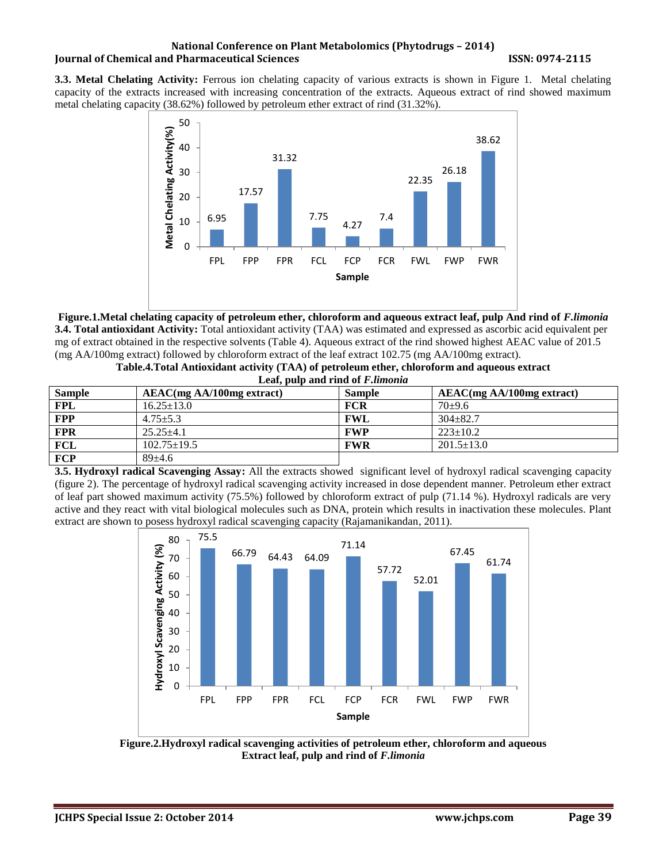**3.3. Metal Chelating Activity:** Ferrous ion chelating capacity of various extracts is shown in Figure 1. Metal chelating capacity of the extracts increased with increasing concentration of the extracts. Aqueous extract of rind showed maximum metal chelating capacity (38.62%) followed by petroleum ether extract of rind (31.32%).



**Figure.1.Metal chelating capacity of petroleum ether, chloroform and aqueous extract leaf, pulp And rind of** *F.limonia* **3.4. Total antioxidant Activity:** Total antioxidant activity (TAA) was estimated and expressed as ascorbic acid equivalent per mg of extract obtained in the respective solvents (Table 4). Aqueous extract of the rind showed highest AEAC value of 201.5 (mg AA/100mg extract) followed by chloroform extract of the leaf extract 102.75 (mg AA/100mg extract).

| Table.4.Total Antioxidant activity (TAA) of petroleum ether, chloroform and aqueous extract |  |
|---------------------------------------------------------------------------------------------|--|
| Leaf, pulp and rind of <i>F. limonia</i>                                                    |  |

| <b>Sample</b> | AEAC(mg AA/100mg extract) | <b>Sample</b> | $AEAC(mg AA/100mg$ extract) |  |
|---------------|---------------------------|---------------|-----------------------------|--|
| <b>FPL</b>    | $16.25 \pm 13.0$          | <b>FCR</b>    | $70+9.6$                    |  |
| <b>FPP</b>    | $4.75 + 5.3$              | <b>FWL</b>    | $304 + 82.7$                |  |
| <b>FPR</b>    | $25.25 + 4.1$             | <b>FWP</b>    | $223+10.2$                  |  |
| FCL           | $102.75 \pm 19.5$         | <b>FWR</b>    | $201.5 \pm 13.0$            |  |
| FCP           | $89+4.6$                  |               |                             |  |

**3.5. Hydroxyl radical Scavenging Assay:** All the extracts showed significant level of hydroxyl radical scavenging capacity (figure 2). The percentage of hydroxyl radical scavenging activity increased in dose dependent manner. Petroleum ether extract of leaf part showed maximum activity (75.5%) followed by chloroform extract of pulp (71.14 %). Hydroxyl radicals are very active and they react with vital biological molecules such as DNA, protein which results in inactivation these molecules. Plant extract are shown to posess hydroxyl radical scavenging capacity (Rajamanikandan, 2011).



**Figure.2.Hydroxyl radical scavenging activities of petroleum ether, chloroform and aqueous Extract leaf, pulp and rind of** *F.limonia*